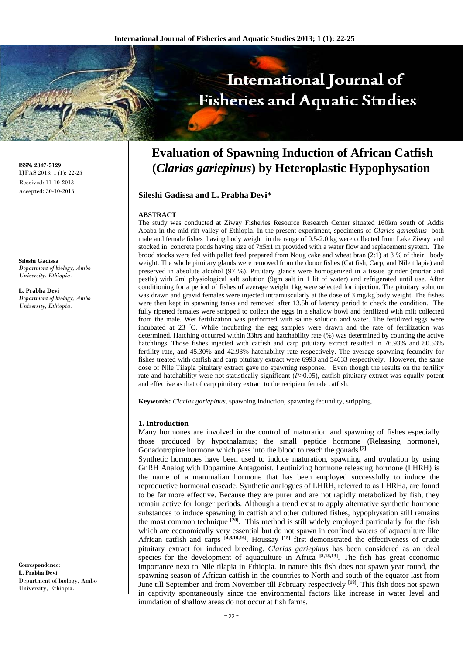# International Journal of **Fisheries and Aquatic Studies**

# **Evaluation of Spawning Induction of African Catfish (***Clarias gariepinus***) by Heteroplastic Hypophysation**

**Sileshi Gadissa and L. Prabha Devi\*** 

# **ABSTRACT**

The study was conducted at Ziway Fisheries Resource Research Center situated 160km south of Addis Ababa in the mid rift valley of Ethiopia. In the present experiment, specimens of *Clarias gariepinus* both male and female fishes having body weight in the range of 0.5-2.0 kg were collected from Lake Ziway and stocked in concrete ponds having size of 7x5x1 m provided with a water flow and replacement system. The brood stocks were fed with pellet feed prepared from Noug cake and wheat bran (2:1) at 3 % of their body weight. The whole pituitary glands were removed from the donor fishes (Cat fish, Carp, and Nile tilapia) and preserved in absolute alcohol (97 %). Pituitary glands were homogenized in a tissue grinder (mortar and pestle) with 2ml physiological salt solution (9gm salt in 1 lit of water) and refrigerated until use. After conditioning for a period of fishes of average weight 1kg were selected for injection. The pituitary solution was drawn and gravid females were injected intramuscularly at the dose of 3 mg/kg body weight. The fishes were then kept in spawning tanks and removed after 13.5h of latency period to check the condition. The fully ripened females were stripped to collect the eggs in a shallow bowl and fertilized with milt collected from the male. Wet fertilization was performed with saline solution and water. The fertilized eggs were incubated at 23 ° C. While incubating the egg samples were drawn and the rate of fertilization was determined. Hatching occurred within 33hrs and hatchability rate (%) was determined by counting the active hatchlings. Those fishes injected with catfish and carp pituitary extract resulted in 76.93% and 80.53% fertility rate, and 45.30% and 42.93% hatchability rate respectively. The average spawning fecundity for fishes treated with catfish and carp pituitary extract were 6993 and 54633 respectively. However, the same dose of Nile Tilapia pituitary extract gave no spawning response. Even though the results on the fertility rate and hatchability were not statistically significant (*P*>0.05), catfish pituitary extract was equally potent and effective as that of carp pituitary extract to the recipient female catfish.

**Keywords:** *Clarias gariepinus*, spawning induction, spawning fecundity, stripping.

#### **1. Introduction**

Many hormones are involved in the control of maturation and spawning of fishes especially those produced by hypothalamus; the small peptide hormone (Releasing hormone), Gonadotropine hormone which pass into the blood to reach the gonads **[7]**.

Synthetic hormones have been used to induce maturation, spawning and ovulation by using GnRH Analog with Dopamine Antagonist. Leutinizing hormone releasing hormone (LHRH) is the name of a mammalian hormone that has been employed successfully to induce the reproductive hormonal cascade. Synthetic analogues of LHRH, referred to as LHRHa, are found to be far more effective. Because they are purer and are not rapidly metabolized by fish, they remain active for longer periods. Although a trend exist to apply alternative synthetic hormone substances to induce spawning in catfish and other cultured fishes, hypophysation still remains the most common technique **[20]**. This method is still widely employed particularly for the fish which are economically very essential but do not spawn in confined waters of aquaculture like African catfish and carps **[4,8,10,16]**. Houssay **[15]** first demonstrated the effectiveness of crude pituitary extract for induced breeding. *Clarias gariepinus* has been considered as an ideal species for the development of aquaculture in Africa **[5,18,13]**. The fish has great economic importance next to Nile tilapia in Ethiopia. In nature this fish does not spawn year round, the spawning season of African catfish in the countries to North and south of the equator last from June till September and from November till February respectively **[18]**. This fish does not spawn in captivity spontaneously since the environmental factors like increase in water level and inundation of shallow areas do not occur at fish farms.

**ISSN: 2347-5129** IJFAS 2013; 1 (1): 22-25 Received: 11-10-2013 Accepted: 30-10-2013

**Sileshi Gadissa**  *Department of biology, Ambo University, Ethiopia.* 

**L. Prabha Devi**  *Department of biology, Ambo University, Ethiopia.* 

**Correspondence**: **L. Prabha Devi**  Department of biology, Ambo University, Ethiopia.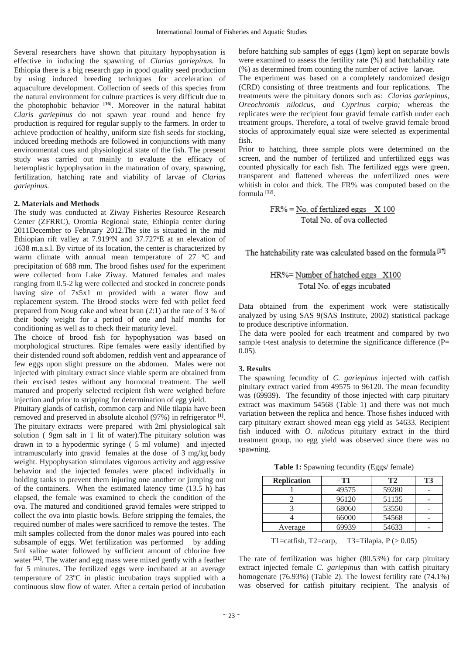Several researchers have shown that pituitary hypophysation is effective in inducing the spawning of *Clarias gariepinus.* In Ethiopia there is a big research gap in good quality seed production by using induced breeding techniques for acceleration of aquaculture development. Collection of seeds of this species from the natural environment for culture practices is very difficult due to the photophobic behavior **[16]**. Moreover in the natural habitat *Claris gariepinus* do not spawn year round and hence fry production is required for regular supply to the farmers. In order to achieve production of healthy, uniform size fish seeds for stocking, induced breeding methods are followed in conjunctions with many environmental cues and physiological state of the fish. The present study was carried out mainly to evaluate the efficacy of heteroplastic hypophysation in the maturation of ovary, spawning, fertilization, hatching rate and viability of larvae of *Clarias gariepinus.* 

#### **2. Materials and Methods**

The study was conducted at Ziway Fisheries Resource Research Center (ZFRRC), Oromia Regional state, Ethiopia center during 2011December to February 2012.The site is situated in the mid Ethiopian rift valley at 7.919°N and 37.727°E at an elevation of 1638 m.a.s.l. By virtue of its location, the center is characterized by warm climate with annual mean temperature of  $27$  °C and precipitation of 688 mm. The brood fishes *used* for the experiment were collected from Lake Ziway. Matured females and males ranging from 0.5-2 kg were collected and stocked in concrete ponds having size of 7x5x1 m provided with a water flow and replacement system. The Brood stocks were fed with pellet feed prepared from Noug cake and wheat bran (2:1) at the rate of 3 % of their body weight for a period of one and half months for conditioning as well as to check their maturity level.

The choice of brood fish for hypophysation was based on morphological structures. Ripe females were easily identified by their distended round soft abdomen, reddish vent and appearance of few eggs upon slight pressure on the abdomen. Males were not injected with pituitary extract since viable sperm are obtained from their excised testes without any hormonal treatment. The well matured and properly selected recipient fish were weighed before injection and prior to stripping for determination of egg yield.

Pituitary glands of catfish, common carp and Nile tilapia have been removed and preserved in absolute alcohol (97%) in refrigerator **[1]**. The pituitary extracts were prepared with 2ml physiological salt solution ( 9gm salt in 1 lit of water).The pituitary solution was drawn in to a hypodermic syringe ( 5 ml volume) and injected intramuscularly into gravid females at the dose of 3 mg/kg body weight. Hypophysation stimulates vigorous activity and aggressive behavior and the injected females were placed individually in holding tanks to prevent them injuring one another or jumping out of the containers. When the estimated latency time (13.5 h) has elapsed, the female was examined to check the condition of the ova. The matured and conditioned gravid females were stripped to collect the ova into plastic bowls. Before stripping the females, the required number of males were sacrificed to remove the testes. The milt samples collected from the donor males was poured into each subsample of eggs. Wet fertilization was performed by adding 5ml saline water followed by sufficient amount of chlorine free water **[21]**. The water and egg mass were mixed gently with a feather for 5 minutes. The fertilized eggs were incubated at an average temperature of 23°C in plastic incubation trays supplied with a continuous slow flow of water. After a certain period of incubation

before hatching sub samples of eggs (1gm) kept on separate bowls were examined to assess the fertility rate (%) and hatchability rate (%) as determined from counting the number of active larvae.

The experiment was based on a completely randomized design (CRD) consisting of three treatments and four replications. The treatments were the pituitary donors such as: *Clarias gariepinus, Oreochromis niloticus, and Cyprinus carpio;* whereas the replicates were the recipient four gravid female catfish under each treatment groups. Therefore, a total of twelve gravid female brood stocks of approximately equal size were selected as experimental fish.

Prior to hatching, three sample plots were determined on the screen, and the number of fertilized and unfertilized eggs was counted physically for each fish. The fertilized eggs were green, transparent and flattened whereas the unfertilized ones were whitish in color and thick. The FR% was computed based on the formula **[12]**.

$$
FR\% = \underline{No. of fertilized eggs} \times 100
$$
  
Total No. of ova collected

The hatchability rate was calculated based on the formula<sup>[17]</sup>

$$
HR\% = \frac{Number of hatched eggs \times 100}{Total No. of eggs incubated}
$$

Data obtained from the experiment work were statistically analyzed by using SAS 9(SAS Institute, 2002) statistical package to produce descriptive information.

The data were pooled for each treatment and compared by two sample t-test analysis to determine the significance difference (P= 0.05).

#### **3. Results**

The spawning fecundity of *C. gariepinus* injected with catfish pituitary extract varied from 49575 to 96120. The mean fecundity was (69939). The fecundity of those injected with carp pituitary extract was maximum 54568 (Table 1) and there was not much variation between the replica and hence. Those fishes induced with carp pituitary extract showed mean egg yield as 54633. Recipient fish induced with *O. niloticus* pituitary extract in the third treatment group, no egg yield was observed since there was no spawning.

**Table 1:** Spawning fecundity (Eggs/ female)

| <b>Replication</b> | T1    | T2    | T3 |
|--------------------|-------|-------|----|
|                    | 49575 | 59280 |    |
|                    | 96120 | 51135 |    |
|                    | 68060 | 53550 |    |
|                    | 66000 | 54568 |    |
| Average            | 69939 | 54633 |    |

T1=catfish, T2=carp, T3=Tilapia,  $P$  ( $> 0.05$ )

The rate of fertilization was higher (80.53%) for carp pituitary extract injected female *C. gariepinus* than with catfish pituitary homogenate (76.93%) (Table 2). The lowest fertility rate (74.1%) was observed for catfish pituitary recipient. The analysis of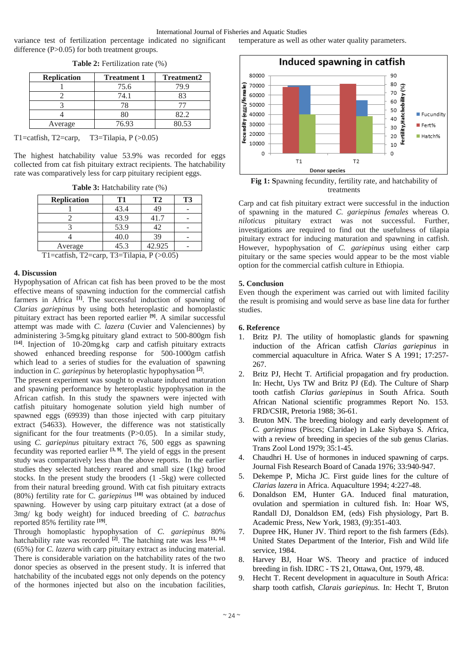variance test of fertilization percentage indicated no significant difference (P>0.05) for both treatment groups.

| <b>Replication</b> | <b>Treatment 1</b> | <b>Treatment2</b> |
|--------------------|--------------------|-------------------|
|                    | 75.6               | 79.9              |
|                    | 74.1               | 83                |
|                    |                    |                   |
|                    |                    | 82.2              |
| Average            | 76.93              | 80.53             |

**Table 2:** Fertilization rate (%)

T1=catfish, T2=carp, T3=Tilapia, P (>0.05)

The highest hatchability value 53.9% was recorded for eggs collected from cat fish pituitary extract recipients. The hatchability rate was comparatively less for carp pituitary recipient eggs.

**Table 3:** Hatchability rate (%)

| <b>Replication</b>                        | T1   | T2     | <b>T3</b> |  |
|-------------------------------------------|------|--------|-----------|--|
|                                           | 43.4 | 49     |           |  |
|                                           | 43.9 | 41.7   |           |  |
|                                           | 53.9 | 42     |           |  |
|                                           | 40.0 | 39     |           |  |
| Average                                   | 45.3 | 42.925 |           |  |
| $TT1 = 1.44$ $T1 = T1$<br>T2. T11. D(AAB) |      |        |           |  |

T1=catfish, T2=carp, T3=Tilapia, P (>0.05)

## **4. Discussion**

Hypophysation of African cat fish has been proved to be the most effective means of spawning induction for the commercial catfish farmers in Africa <sup>[1]</sup>. The successful induction of spawning of *Clarias gariepinus* by using both heteroplastic and homoplastic pituitary extract has been reported earlier **[9]**. A similar successful attempt was made with *C. lazera* (Cuvier and Valenciennes) by administering 3-5mg/kg pituitary gland extract to 500-800gm fish **[14]**. Injection of 10-20mg/kg carp and catfish pituitary extracts showed enhanced breeding response for 500-1000gm catfish which lead to a series of studies for the evaluation of spawning induction in *C. gariepinus* by heteroplastic hypophysation **[2]**.

The present experiment was sought to evaluate induced maturation and spawning performance by heteroplastic hypophysation in the African catfish. In this study the spawners were injected with catfish pituitary homogenate solution yield high number of spawned eggs (69939) than those injected with carp pituitary extract (54633). However, the difference was not statistically significant for the four treatments (P>0.05). In a similar study, using *C. gariepinus* pituitary extract 76, 500 eggs as spawning fecundity was reported earlier **[3, 9]**. The yield of eggs in the present study was comparatively less than the above reports. In the earlier studies they selected hatchery reared and small size (1kg) brood stocks. In the present study the brooders (1 -5kg) were collected from their natural breeding ground. With cat fish pituitary extracts (80%) fertility rate for C*. gariepinus* **[10]** was obtained by induced spawning. However by using carp pituitary extract (at a dose of 3mg/ kg body weight) for induced breeding of *C. batrachus* reported 85% fertility rate **[19]**.

Through homoplastic hypophysation of *C. gariepinus* 80% hatchability rate was recorded **[2]**. The hatching rate was less **[11, 14]** (65%) for *C. lazera* with carp pituitary extract as inducing material. There is considerable variation on the hatchability rates of the two donor species as observed in the present study. It is inferred that hatchability of the incubated eggs not only depends on the potency of the hormones injected but also on the incubation facilities,



temperature as well as other water quality parameters.

**Fig 1: S**pawning fecundity, fertility rate, and hatchability of treatments

Carp and cat fish pituitary extract were successful in the induction of spawning in the matured *C. gariepinus females* whereas O*. niloticus* pituitary extract was not successful. Further, investigations are required to find out the usefulness of tilapia pituitary extract for inducing maturation and spawning in catfish. However, hypophysation of *C. gariepinus* using either carp pituitary or the same species would appear to be the most viable option for the commercial catfish culture in Ethiopia.

#### **5. Conclusion**

Even though the experiment was carried out with limited facility the result is promising and would serve as base line data for further studies.

## **6. Reference**

- 1. Britz PJ. The utility of homoplastic glands for spawning induction of the African catfish *Clarias gariepinus* in commercial aquaculture in Africa. Water S A 1991; 17:257- 267.
- 2. Britz PJ, Hecht T. Artificial propagation and fry production. In: Hecht, Uys TW and Britz PJ (Ed). The Culture of Sharp tooth catfish *Clarias gariepinus* in South Africa. South African National scientific programmes Report No. 153. FRD/CSIR, Pretoria 1988; 36-61.
- 3. Bruton MN. The breeding biology and early development of *C. gariepinus* (Pisces; Claridae) in Lake Siybaya S. Africa, with a review of breeding in species of the sub genus Clarias. Trans Zool Lond 1979; 35:1-45.
- 4. Chaudhri H. Use of hormones in induced spawning of carps. Journal Fish Research Board of Canada 1976; 33:940-947.
- 5. Dekempe P, Micha JC. First guide lines for the culture of *Clarias lazera* in Africa. Aquaculture 1994; 4:227-48.
- 6. Donaldson EM, Hunter GA. Induced final maturation, ovulation and spermiation in cultured fish. In: Hoar WS, Randall DJ, Donaldson EM, (eds) Fish physiology, Part B. Academic Press, New York, 1983, (9):351-403.
- 7. Dupree HK, Huner JV. Third report to the fish farmers (Eds). United States Department of the Interior, Fish and Wild life service, 1984.
- 8. Harvey BJ, Hoar WS. Theory and practice of induced breeding in fish. IDRC - TS 21, Ottawa, Ont, 1979, 48.
- 9. Hecht T. Recent development in aquaculture in South Africa: sharp tooth catfish, *Clarais gariepinus.* In: Hecht T, Bruton